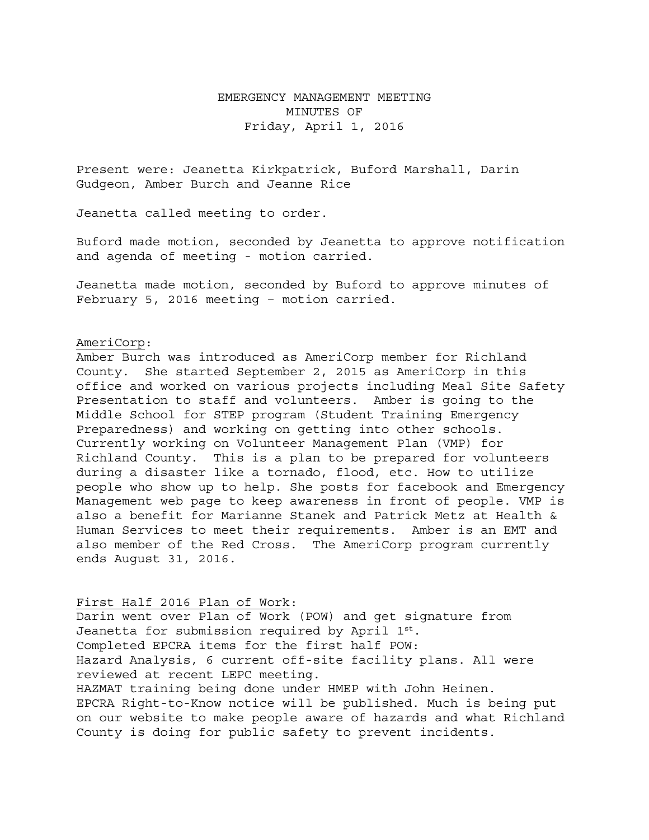## EMERGENCY MANAGEMENT MEETING MINUTES OF Friday, April 1, 2016

Present were: Jeanetta Kirkpatrick, Buford Marshall, Darin Gudgeon, Amber Burch and Jeanne Rice

Jeanetta called meeting to order.

Buford made motion, seconded by Jeanetta to approve notification and agenda of meeting - motion carried.

Jeanetta made motion, seconded by Buford to approve minutes of February 5, 2016 meeting – motion carried.

## AmeriCorp:

Amber Burch was introduced as AmeriCorp member for Richland County. She started September 2, 2015 as AmeriCorp in this office and worked on various projects including Meal Site Safety Presentation to staff and volunteers. Amber is going to the Middle School for STEP program (Student Training Emergency Preparedness) and working on getting into other schools. Currently working on Volunteer Management Plan (VMP) for Richland County. This is a plan to be prepared for volunteers during a disaster like a tornado, flood, etc. How to utilize people who show up to help. She posts for facebook and Emergency Management web page to keep awareness in front of people. VMP is also a benefit for Marianne Stanek and Patrick Metz at Health & Human Services to meet their requirements. Amber is an EMT and also member of the Red Cross. The AmeriCorp program currently ends August 31, 2016.

First Half 2016 Plan of Work: Darin went over Plan of Work (POW) and get signature from Jeanetta for submission required by April 1st. Completed EPCRA items for the first half POW: Hazard Analysis, 6 current off-site facility plans. All were reviewed at recent LEPC meeting. HAZMAT training being done under HMEP with John Heinen. EPCRA Right-to-Know notice will be published. Much is being put on our website to make people aware of hazards and what Richland County is doing for public safety to prevent incidents.